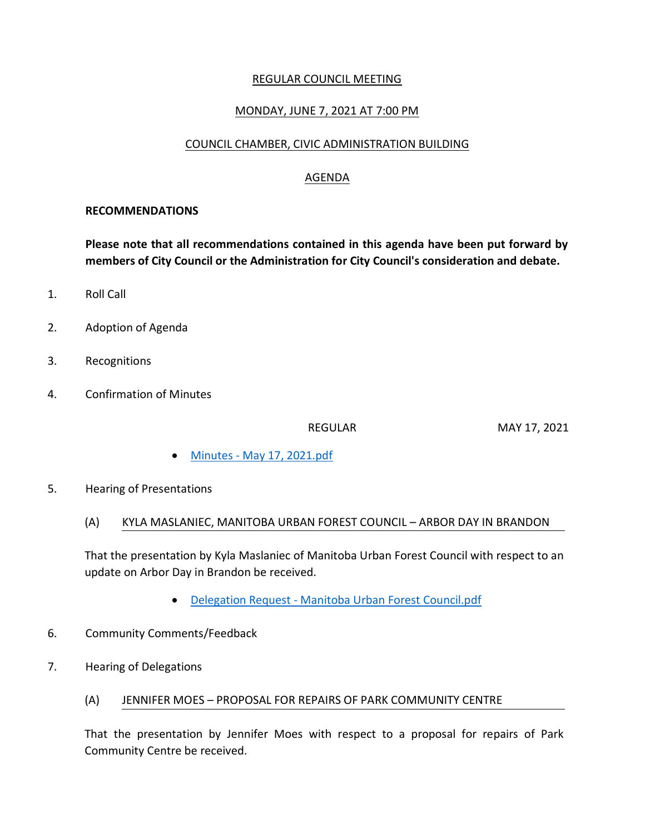#### REGULAR COUNCIL MEETING

### MONDAY, JUNE 7, 2021 AT 7:00 PM

### COUNCIL CHAMBER, CIVIC ADMINISTRATION BUILDING

### AGENDA

#### **RECOMMENDATIONS**

**Please note that all recommendations contained in this agenda have been put forward by members of City Council or the Administration for City Council's consideration and debate.**

- 1. Roll Call
- 2. Adoption of Agenda
- 3. Recognitions
- 4. Confirmation of Minutes

REGULAR MAY 17, 2021

- Minutes [May 17, 2021.pdf](https://paperlesscouncil.brandon.ca/attachments/A_2021/COM_ZSWLMORBJNNMQBVIYDEDKGDWVHLUYWRVGCGNNAWDQAUPIZHAUZX_Minutes%20-%20May%2017,%202021.pdf)
- 5. Hearing of Presentations
	- (A) KYLA MASLANIEC, MANITOBA URBAN FOREST COUNCIL ARBOR DAY IN BRANDON

That the presentation by Kyla Maslaniec of Manitoba Urban Forest Council with respect to an update on Arbor Day in Brandon be received.

- Delegation Request [Manitoba Urban Forest Council.pdf](https://paperlesscouncil.brandon.ca/attachments/A_2021/HOP_NUZUKQIWCWOIPDNCWYQKRDEDUXPJBQLJVDGGXVHEZYTUQOOOBUI_Delegation%20Request%20-%20Manitoba%20Urban%20Forest%20Council.pdf)
- 6. Community Comments/Feedback
- 7. Hearing of Delegations
	- (A) JENNIFER MOES PROPOSAL FOR REPAIRS OF PARK COMMUNITY CENTRE

That the presentation by Jennifer Moes with respect to a proposal for repairs of Park Community Centre be received.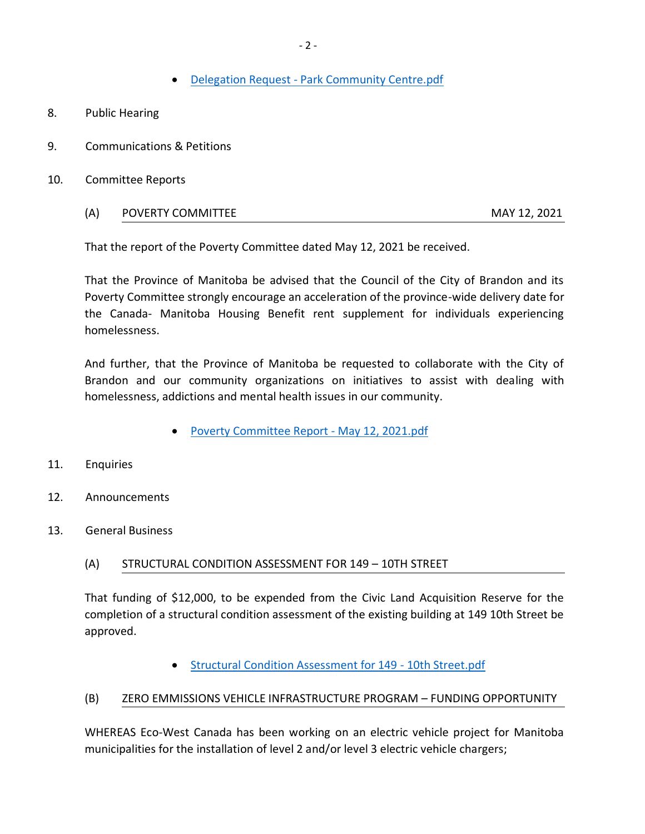Delegation Request - [Park Community Centre.pdf](https://paperlesscouncil.brandon.ca/attachments/A_2021/HOD_EVCSLQOXXOIJRCPZAJXDVXDARCZLOHHXLFALCBFTIHLJJUSVLHP_Delegation%20Request%20-%20Park%20Community%20Centre.pdf)

- 8. Public Hearing
- 9. Communications & Petitions
- 10. Committee Reports

| (A) | POVERTY COMMITTEE | MAY 12, 2021 |
|-----|-------------------|--------------|
|-----|-------------------|--------------|

That the report of the Poverty Committee dated May 12, 2021 be received.

That the Province of Manitoba be advised that the Council of the City of Brandon and its Poverty Committee strongly encourage an acceleration of the province-wide delivery date for the Canada- Manitoba Housing Benefit rent supplement for individuals experiencing homelessness.

And further, that the Province of Manitoba be requested to collaborate with the City of Brandon and our community organizations on initiatives to assist with dealing with homelessness, addictions and mental health issues in our community.

- [Poverty Committee Report -](https://paperlesscouncil.brandon.ca/attachments/A_2021/REP_NHSPKKREVXXLARUMMIRNWRCFVRTIPDIKKKIKDPHKTQMYZKDSSVE_Poverty%20Committee%20Report%20-%20May%2012,%202021.pdf) May 12, 2021.pdf
- 11. Enquiries
- 12. Announcements
- 13. General Business

#### (A) STRUCTURAL CONDITION ASSESSMENT FOR 149 – 10TH STREET

That funding of \$12,000, to be expended from the Civic Land Acquisition Reserve for the completion of a structural condition assessment of the existing building at 149 10th Street be approved.

[Structural Condition Assessment for 149 -](https://paperlesscouncil.brandon.ca/attachments/A_2021/GEN_NUTGWTRCOMNJMNUFGCNIDCHXABEMAOHJANVWYDOPMBBAWAUJICD_Structural%20Condition%20Assessment%20for%20149%20-%2010th%20Street.pdf) 10th Street.pdf

#### (B) ZERO EMMISSIONS VEHICLE INFRASTRUCTURE PROGRAM – FUNDING OPPORTUNITY

WHEREAS Eco-West Canada has been working on an electric vehicle project for Manitoba municipalities for the installation of level 2 and/or level 3 electric vehicle chargers;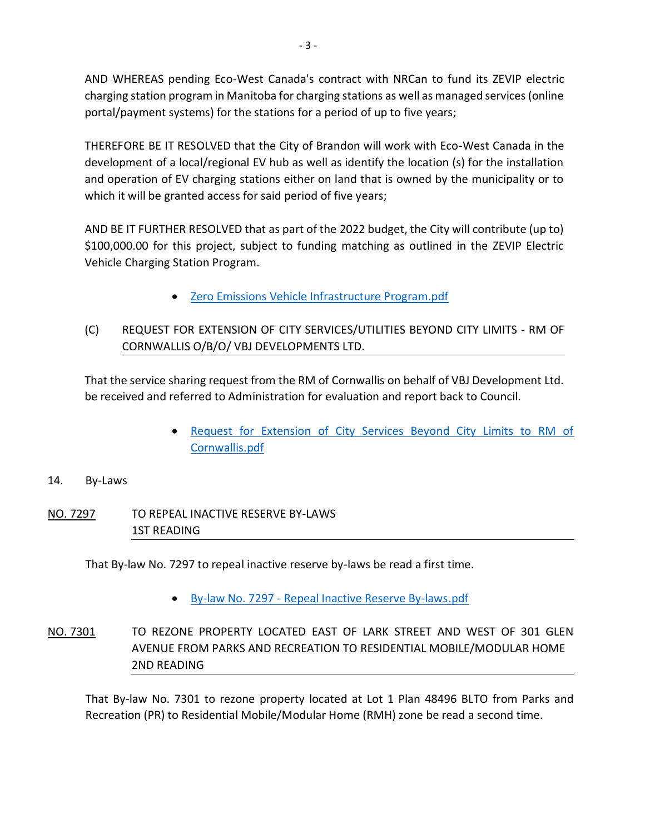AND WHEREAS pending Eco-West Canada's contract with NRCan to fund its ZEVIP electric charging station program in Manitoba for charging stations as well as managed services (online portal/payment systems) for the stations for a period of up to five years;

THEREFORE BE IT RESOLVED that the City of Brandon will work with Eco-West Canada in the development of a local/regional EV hub as well as identify the location (s) for the installation and operation of EV charging stations either on land that is owned by the municipality or to which it will be granted access for said period of five years;

AND BE IT FURTHER RESOLVED that as part of the 2022 budget, the City will contribute (up to) \$100,000.00 for this project, subject to funding matching as outlined in the ZEVIP Electric Vehicle Charging Station Program.

- [Zero Emissions Vehicle Infrastructure Program.pdf](https://paperlesscouncil.brandon.ca/attachments/A_2021/GEN_TCOPZVVHQVHMBESYJZTXOAGEQDHTXIDQXTXRNSUFNJAEHZCQXXI_Zero%20Emissions%20Vehicle%20Infrastructure%20Program.pdf)
- (C) REQUEST FOR EXTENSION OF CITY SERVICES/UTILITIES BEYOND CITY LIMITS RM OF CORNWALLIS O/B/O/ VBJ DEVELOPMENTS LTD.

That the service sharing request from the RM of Cornwallis on behalf of VBJ Development Ltd. be received and referred to Administration for evaluation and report back to Council.

> [Request for Extension of City Services Beyond City Limits to RM of](https://paperlesscouncil.brandon.ca/attachments/A_2021/GEN_JLRBYIYPCQYEOKJIWWSLLZEQJDJIPUCDWCDGUFHTEHSPACWNCVQ_Request%20for%20Extension%20of%20City%20Services%20Beyond%20City%20Limits%20to%20RM%20of%20Cornwallis.pdf)  [Cornwallis.pdf](https://paperlesscouncil.brandon.ca/attachments/A_2021/GEN_JLRBYIYPCQYEOKJIWWSLLZEQJDJIPUCDWCDGUFHTEHSPACWNCVQ_Request%20for%20Extension%20of%20City%20Services%20Beyond%20City%20Limits%20to%20RM%20of%20Cornwallis.pdf)

# 14. By-Laws

NO. 7297 TO REPEAL INACTIVE RESERVE BY-LAWS 1ST READING

That By-law No. 7297 to repeal inactive reserve by-laws be read a first time.

By-law No. 7297 - [Repeal Inactive Reserve By-laws.pdf](https://paperlesscouncil.brandon.ca/attachments/A_2021/BYL_YMFUBDCZFVCHURXUMIKETERFCCZPHCCDVSGMBHDCQOFHQWECAPX_By-law%20No.%207297%20-%20Repeal%20Inactive%20Reserve%20By-laws.pdf)

# NO. 7301 TO REZONE PROPERTY LOCATED EAST OF LARK STREET AND WEST OF 301 GLEN AVENUE FROM PARKS AND RECREATION TO RESIDENTIAL MOBILE/MODULAR HOME 2ND READING

That By-law No. 7301 to rezone property located at Lot 1 Plan 48496 BLTO from Parks and Recreation (PR) to Residential Mobile/Modular Home (RMH) zone be read a second time.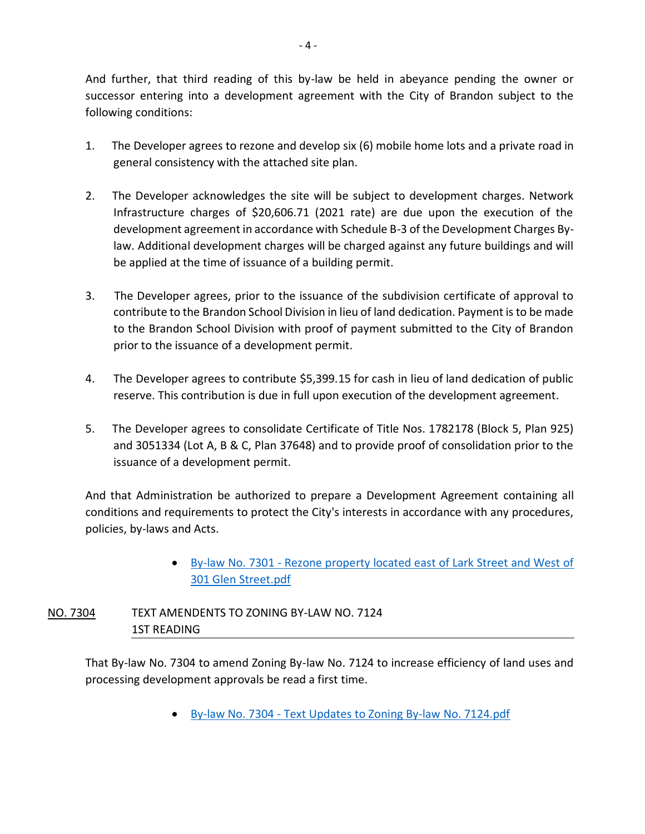And further, that third reading of this by-law be held in abeyance pending the owner or successor entering into a development agreement with the City of Brandon subject to the following conditions:

- 1. The Developer agrees to rezone and develop six (6) mobile home lots and a private road in general consistency with the attached site plan.
- 2. The Developer acknowledges the site will be subject to development charges. Network Infrastructure charges of \$20,606.71 (2021 rate) are due upon the execution of the development agreement in accordance with Schedule B-3 of the Development Charges Bylaw. Additional development charges will be charged against any future buildings and will be applied at the time of issuance of a building permit.
- 3. The Developer agrees, prior to the issuance of the subdivision certificate of approval to contribute to the Brandon School Division in lieu of land dedication. Payment is to be made to the Brandon School Division with proof of payment submitted to the City of Brandon prior to the issuance of a development permit.
- 4. The Developer agrees to contribute \$5,399.15 for cash in lieu of land dedication of public reserve. This contribution is due in full upon execution of the development agreement.
- 5. The Developer agrees to consolidate Certificate of Title Nos. 1782178 (Block 5, Plan 925) and 3051334 (Lot A, B & C, Plan 37648) and to provide proof of consolidation prior to the issuance of a development permit.

And that Administration be authorized to prepare a Development Agreement containing all conditions and requirements to protect the City's interests in accordance with any procedures, policies, by-laws and Acts.

> By-law No. 7301 - [Rezone property located east of Lark Street and West of](https://paperlesscouncil.brandon.ca/attachments/A_2021/BYL_VCLJOBDFMLEXXWZCLBSMLQNFJCUISRJLKTAMUMOPARXNRXXCMZP_By-law%20No.%207301%20-%20Rezone%20property%20located%20east%20of%20Lark%20Street%20and%20West%20of%20301%20Glen%20Street.pdf)  [301 Glen Street.pdf](https://paperlesscouncil.brandon.ca/attachments/A_2021/BYL_VCLJOBDFMLEXXWZCLBSMLQNFJCUISRJLKTAMUMOPARXNRXXCMZP_By-law%20No.%207301%20-%20Rezone%20property%20located%20east%20of%20Lark%20Street%20and%20West%20of%20301%20Glen%20Street.pdf)

# NO. 7304 TEXT AMENDENTS TO ZONING BY-LAW NO. 7124 1ST READING

That By-law No. 7304 to amend Zoning By-law No. 7124 to increase efficiency of land uses and processing development approvals be read a first time.

By-law No. 7304 - [Text Updates to Zoning By-law No. 7124.pdf](https://paperlesscouncil.brandon.ca/attachments/A_2021/BYL_BDWNUGSTOZSYEQACVYXXJEAGUHMZDGQFHVLLHGATLFYZDNIVLLA_By-law%20No.%207304%20-%20Text%20Updates%20to%20Zoning%20By-law%20No.%207124.pdf)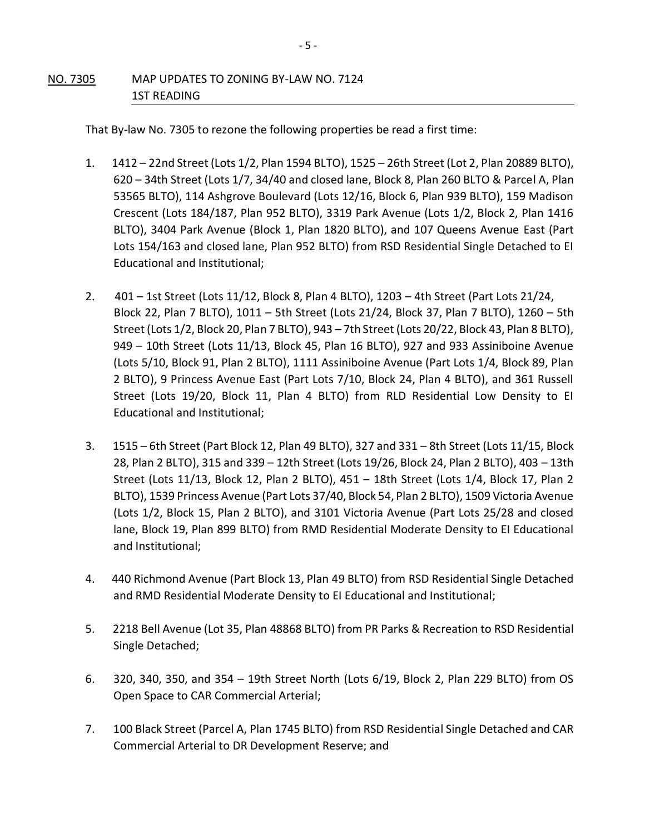## NO. 7305 MAP UPDATES TO ZONING BY-LAW NO. 7124 1ST READING

That By-law No. 7305 to rezone the following properties be read a first time:

- 1. 1412 22nd Street (Lots 1/2, Plan 1594 BLTO), 1525 26th Street (Lot 2, Plan 20889 BLTO), 620 – 34th Street (Lots 1/7, 34/40 and closed lane, Block 8, Plan 260 BLTO & Parcel A, Plan 53565 BLTO), 114 Ashgrove Boulevard (Lots 12/16, Block 6, Plan 939 BLTO), 159 Madison Crescent (Lots 184/187, Plan 952 BLTO), 3319 Park Avenue (Lots 1/2, Block 2, Plan 1416 BLTO), 3404 Park Avenue (Block 1, Plan 1820 BLTO), and 107 Queens Avenue East (Part Lots 154/163 and closed lane, Plan 952 BLTO) from RSD Residential Single Detached to EI Educational and Institutional;
- 2. 401 1st Street (Lots 11/12, Block 8, Plan 4 BLTO), 1203 4th Street (Part Lots 21/24, Block 22, Plan 7 BLTO), 1011 – 5th Street (Lots 21/24, Block 37, Plan 7 BLTO), 1260 – 5th Street (Lots 1/2, Block 20, Plan 7 BLTO), 943 – 7th Street (Lots 20/22, Block 43, Plan 8 BLTO), 949 – 10th Street (Lots 11/13, Block 45, Plan 16 BLTO), 927 and 933 Assiniboine Avenue (Lots 5/10, Block 91, Plan 2 BLTO), 1111 Assiniboine Avenue (Part Lots 1/4, Block 89, Plan 2 BLTO), 9 Princess Avenue East (Part Lots 7/10, Block 24, Plan 4 BLTO), and 361 Russell Street (Lots 19/20, Block 11, Plan 4 BLTO) from RLD Residential Low Density to EI Educational and Institutional;
- 3. 1515 6th Street (Part Block 12, Plan 49 BLTO), 327 and 331 8th Street (Lots 11/15, Block 28, Plan 2 BLTO), 315 and 339 – 12th Street (Lots 19/26, Block 24, Plan 2 BLTO), 403 – 13th Street (Lots 11/13, Block 12, Plan 2 BLTO), 451 – 18th Street (Lots 1/4, Block 17, Plan 2 BLTO), 1539 Princess Avenue (Part Lots 37/40, Block 54, Plan 2 BLTO), 1509 Victoria Avenue (Lots 1/2, Block 15, Plan 2 BLTO), and 3101 Victoria Avenue (Part Lots 25/28 and closed lane, Block 19, Plan 899 BLTO) from RMD Residential Moderate Density to EI Educational and Institutional;
- 4. 440 Richmond Avenue (Part Block 13, Plan 49 BLTO) from RSD Residential Single Detached and RMD Residential Moderate Density to EI Educational and Institutional;
- 5. 2218 Bell Avenue (Lot 35, Plan 48868 BLTO) from PR Parks & Recreation to RSD Residential Single Detached;
- 6. 320, 340, 350, and 354 19th Street North (Lots 6/19, Block 2, Plan 229 BLTO) from OS Open Space to CAR Commercial Arterial;
- 7. 100 Black Street (Parcel A, Plan 1745 BLTO) from RSD Residential Single Detached and CAR Commercial Arterial to DR Development Reserve; and